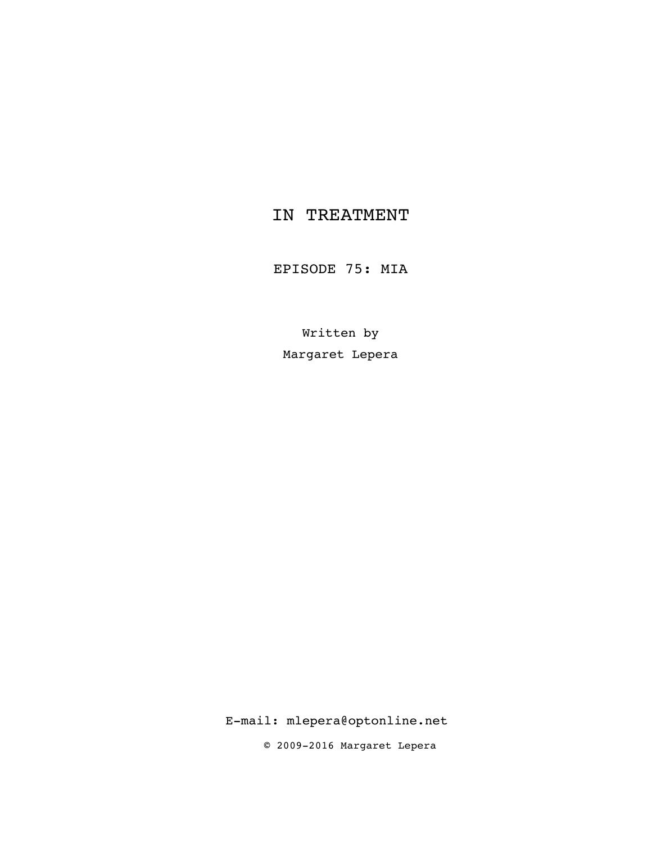# IN TREATMENT

EPISODE 75: MIA

Written by Margaret Lepera

E-mail: mlepera@optonline.net

© 2009-2016 Margaret Lepera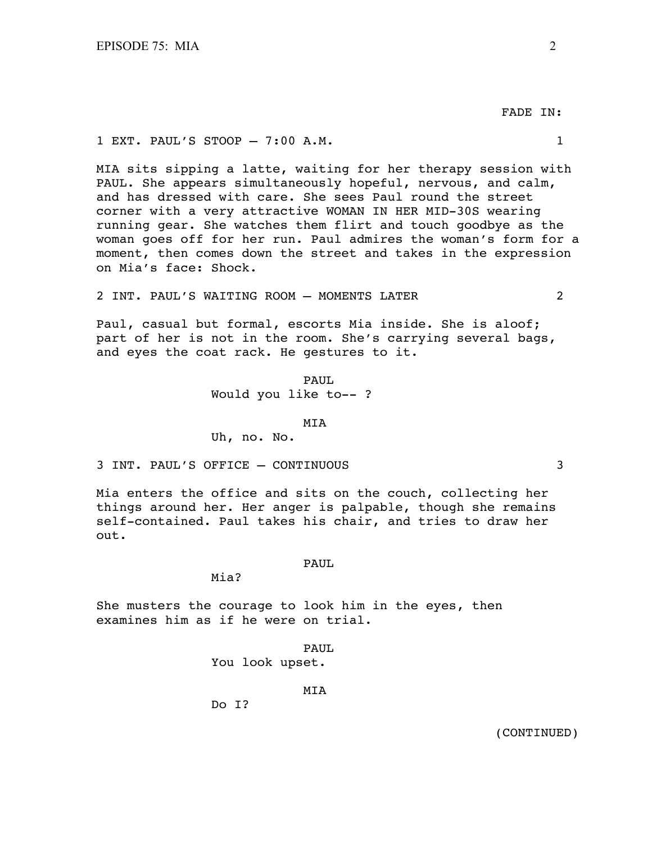FADE IN:

## 1 EXT. PAUL'S STOOP – 7:00 A.M. 1

MIA sits sipping a latte, waiting for her therapy session with PAUL. She appears simultaneously hopeful, nervous, and calm, and has dressed with care. She sees Paul round the street corner with a very attractive WOMAN IN HER MID-30S wearing running gear. She watches them flirt and touch goodbye as the woman goes off for her run. Paul admires the woman's form for a moment, then comes down the street and takes in the expression on Mia's face: Shock.

2 INT. PAUL'S WAITING ROOM – MOMENTS LATER 2

Paul, casual but formal, escorts Mia inside. She is aloof; part of her is not in the room. She's carrying several bags, and eyes the coat rack. He gestures to it.

> PAUL. Would you like to-- ?

> > MIA

Uh, no. No.

3 INT. PAUL'S OFFICE – CONTINUOUS 3

Mia enters the office and sits on the couch, collecting her things around her. Her anger is palpable, though she remains self-contained. Paul takes his chair, and tries to draw her out.

#### PAUL

Mia?

She musters the courage to look him in the eyes, then examines him as if he were on trial.

PAUL

You look upset.

MIA

Do I?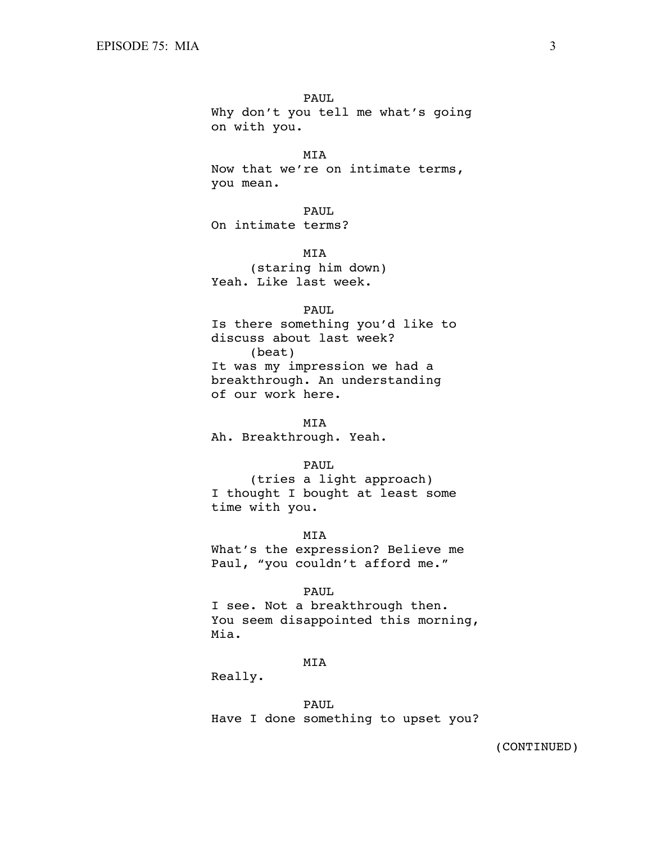Why don't you tell me what's going on with you.

 MIA Now that we're on intimate terms,

you mean.

PAUL

On intimate terms?

MIA

(staring him down) Yeah. Like last week.

# PAUL

Is there something you'd like to discuss about last week? (beat) It was my impression we had a breakthrough. An understanding of our work here.

 MIA Ah. Breakthrough. Yeah.

# PAUL

(tries a light approach) I thought I bought at least some time with you.

MIA

What's the expression? Believe me Paul, "you couldn't afford me."

# PAUL

I see. Not a breakthrough then. You seem disappointed this morning, Mia.

# MIA

Really.

 PAUL Have I done something to upset you?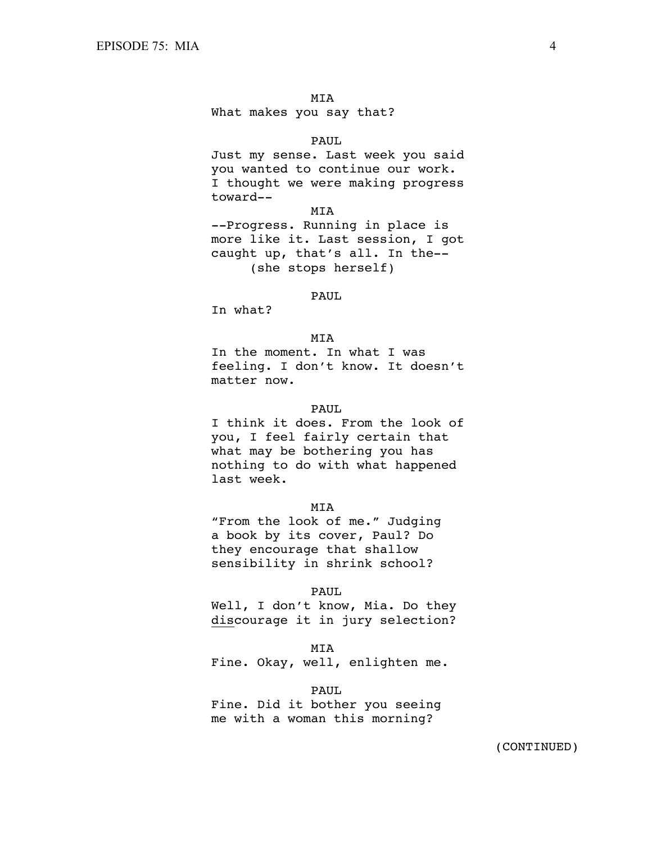What makes you say that?

#### PAUL

Just my sense. Last week you said you wanted to continue our work. I thought we were making progress toward--

MIA

--Progress. Running in place is more like it. Last session, I got caught up, that's all. In the-- (she stops herself)

# **PAUL**

In what?

# MIA

In the moment. In what I was feeling. I don't know. It doesn't matter now.

#### PAUL.

I think it does. From the look of you, I feel fairly certain that what may be bothering you has nothing to do with what happened last week.

### MIA

"From the look of me." Judging a book by its cover, Paul? Do they encourage that shallow sensibility in shrink school?

### PAUL

Well, I don't know, Mia. Do they discourage it in jury selection?

#### MIA

Fine. Okay, well, enlighten me.

PAUL

Fine. Did it bother you seeing me with a woman this morning?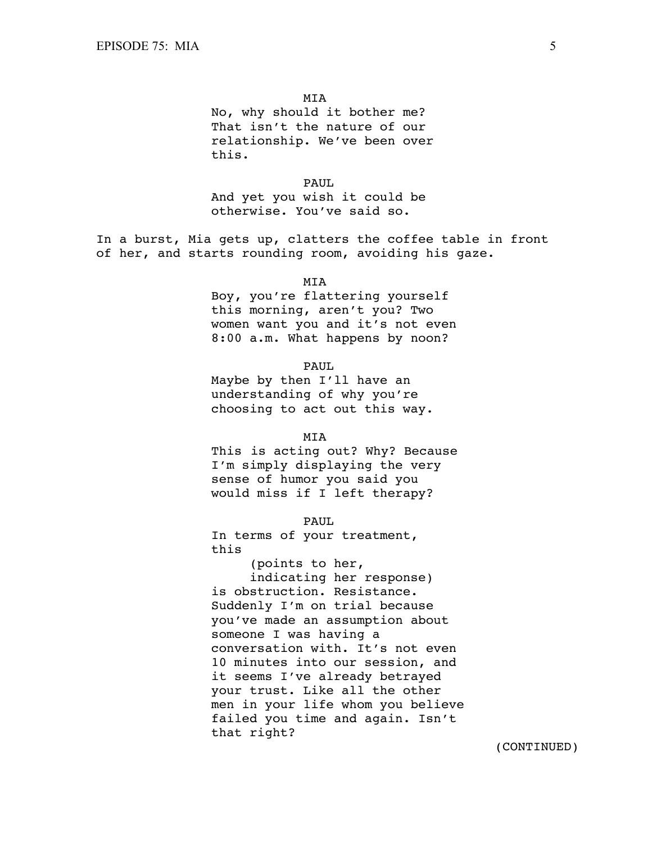No, why should it bother me? That isn't the nature of our relationship. We've been over this.

 PAUL And yet you wish it could be otherwise. You've said so.

In a burst, Mia gets up, clatters the coffee table in front of her, and starts rounding room, avoiding his gaze.

MIA

Boy, you're flattering yourself this morning, aren't you? Two women want you and it's not even 8:00 a.m. What happens by noon?

PAUL

Maybe by then I'll have an understanding of why you're choosing to act out this way.

**MTA** 

This is acting out? Why? Because I'm simply displaying the very sense of humor you said you would miss if I left therapy?

PAUL

In terms of your treatment, this

(points to her, indicating her response) is obstruction. Resistance. Suddenly I'm on trial because you've made an assumption about someone I was having a conversation with. It's not even 10 minutes into our session, and it seems I've already betrayed your trust. Like all the other men in your life whom you believe failed you time and again. Isn't that right?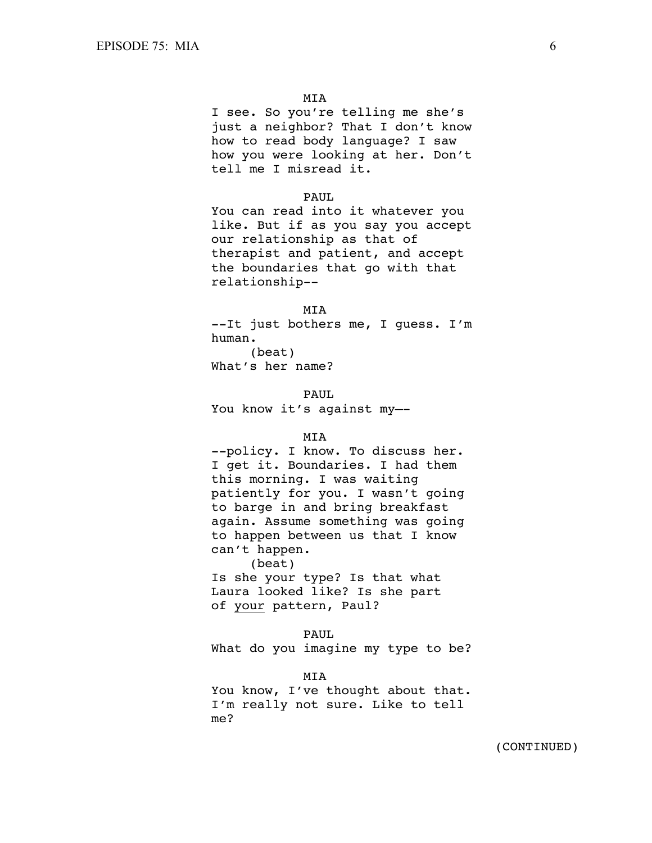I see. So you're telling me she's just a neighbor? That I don't know how to read body language? I saw how you were looking at her. Don't tell me I misread it.

# PAUL.

You can read into it whatever you like. But if as you say you accept our relationship as that of therapist and patient, and accept the boundaries that go with that relationship--

#### MIA

--It just bothers me, I guess. I'm human. (beat)

What's her name?

PAUL.

You know it's against my—-

# MIA

--policy. I know. To discuss her. I get it. Boundaries. I had them this morning. I was waiting patiently for you. I wasn't going to barge in and bring breakfast again. Assume something was going to happen between us that I know can't happen. (beat)

Is she your type? Is that what Laura looked like? Is she part of your pattern, Paul?

 PAUL What do you imagine my type to be?

 MIA You know, I've thought about that. I'm really not sure. Like to tell me?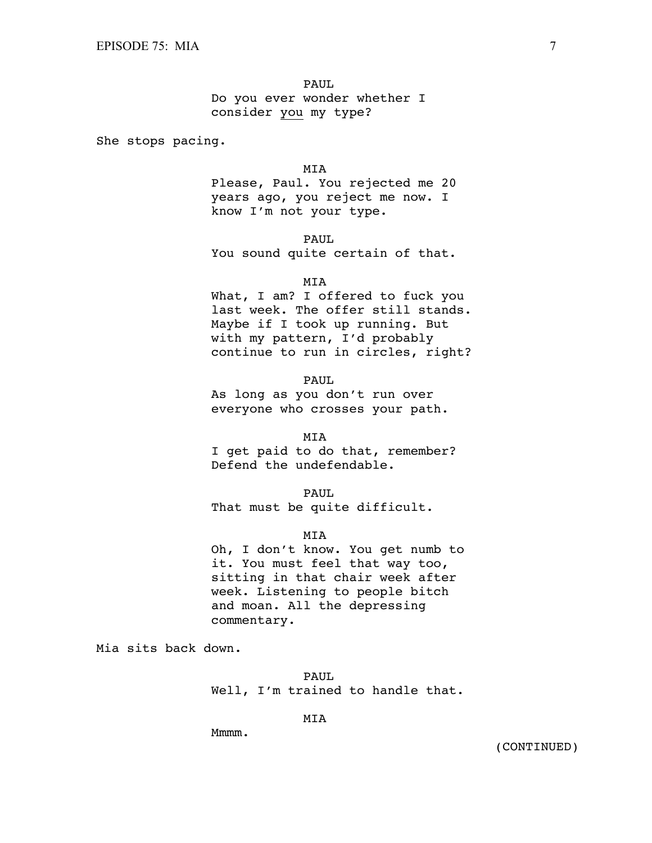Do you ever wonder whether I consider you my type?

She stops pacing.

### MIA

Please, Paul. You rejected me 20 years ago, you reject me now. I know I'm not your type.

PAUL

You sound quite certain of that.

MIA

What, I am? I offered to fuck you last week. The offer still stands. Maybe if I took up running. But with my pattern, I'd probably continue to run in circles, right?

PAUL

As long as you don't run over everyone who crosses your path.

MIA

I get paid to do that, remember? Defend the undefendable.

 PAUL That must be quite difficult.

MIA

Oh, I don't know. You get numb to it. You must feel that way too, sitting in that chair week after week. Listening to people bitch and moan. All the depressing commentary.

Mia sits back down.

 PAUL Well, I'm trained to handle that.

MIA

Mmmm.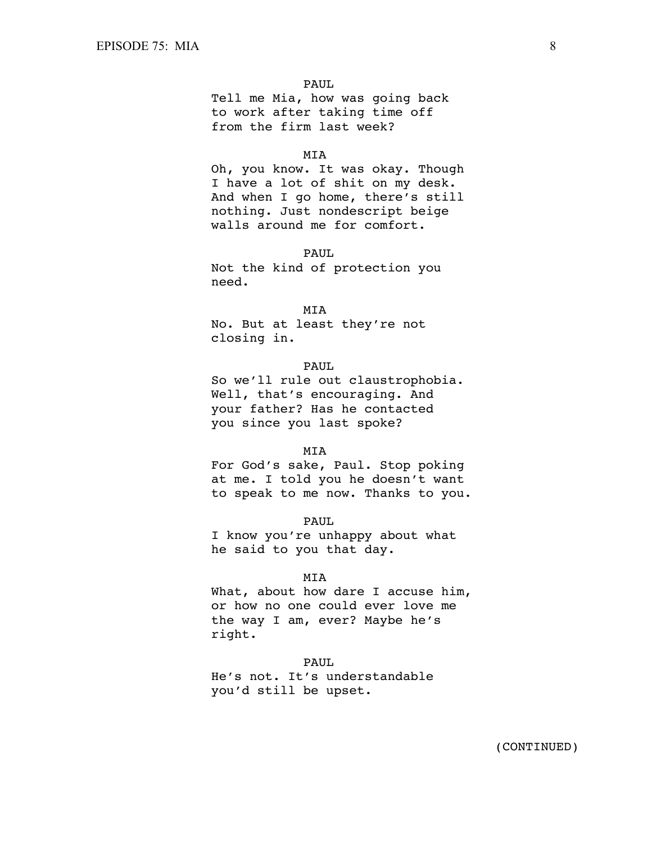Tell me Mia, how was going back to work after taking time off from the firm last week?

#### MIA

Oh, you know. It was okay. Though I have a lot of shit on my desk. And when I go home, there's still nothing. Just nondescript beige walls around me for comfort.

PAUL

Not the kind of protection you need.

#### MIA

No. But at least they're not closing in.

# PAUL

So we'll rule out claustrophobia. Well, that's encouraging. And your father? Has he contacted you since you last spoke?

### MIA

For God's sake, Paul. Stop poking at me. I told you he doesn't want to speak to me now. Thanks to you.

PAUL

I know you're unhappy about what he said to you that day.

### MIA

What, about how dare I accuse him, or how no one could ever love me the way I am, ever? Maybe he's right.

#### PAUL

He's not. It's understandable you'd still be upset.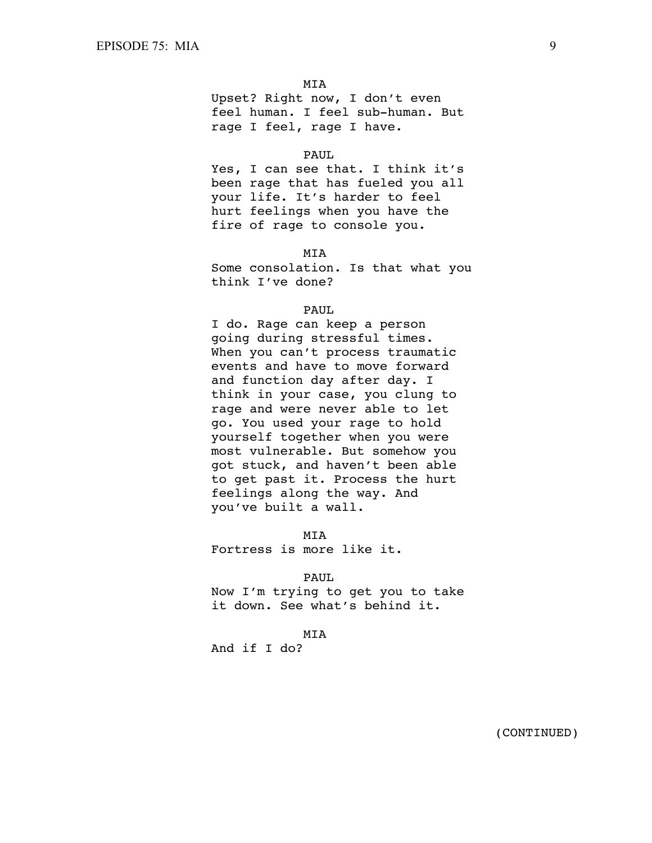Upset? Right now, I don't even feel human. I feel sub-human. But rage I feel, rage I have.

### PAUL

Yes, I can see that. I think it's been rage that has fueled you all your life. It's harder to feel hurt feelings when you have the fire of rage to console you.

MIA

Some consolation. Is that what you think I've done?

### PAUL.

I do. Rage can keep a person going during stressful times. When you can't process traumatic events and have to move forward and function day after day. I think in your case, you clung to rage and were never able to let go. You used your rage to hold yourself together when you were most vulnerable. But somehow you got stuck, and haven't been able to get past it. Process the hurt feelings along the way. And you've built a wall.

 MIA Fortress is more like it.

#### PAUL

Now I'm trying to get you to take it down. See what's behind it.

## MIA

And if I do?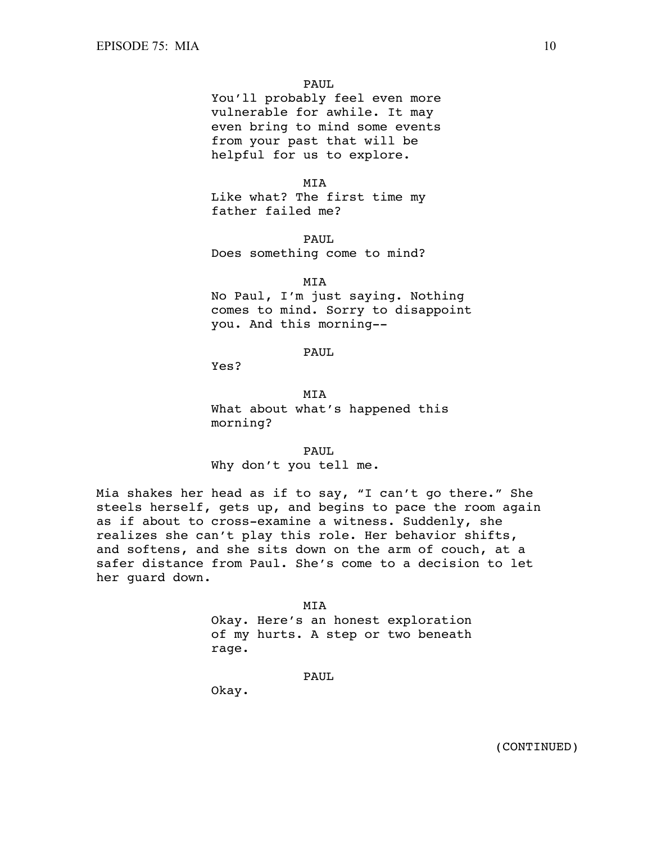You'll probably feel even more vulnerable for awhile. It may even bring to mind some events from your past that will be helpful for us to explore.

MIA

Like what? The first time my father failed me?

 PAUL Does something come to mind?

 MIA No Paul, I'm just saying. Nothing comes to mind. Sorry to disappoint you. And this morning--

# PAUL

Yes?

**MTA** What about what's happened this morning?

 PAUL Why don't you tell me.

Mia shakes her head as if to say, "I can't go there." She steels herself, gets up, and begins to pace the room again as if about to cross-examine a witness. Suddenly, she realizes she can't play this role. Her behavior shifts, and softens, and she sits down on the arm of couch, at a safer distance from Paul. She's come to a decision to let her guard down.

> MIA Okay. Here's an honest exploration of my hurts. A step or two beneath rage.

> > PAUL

Okay.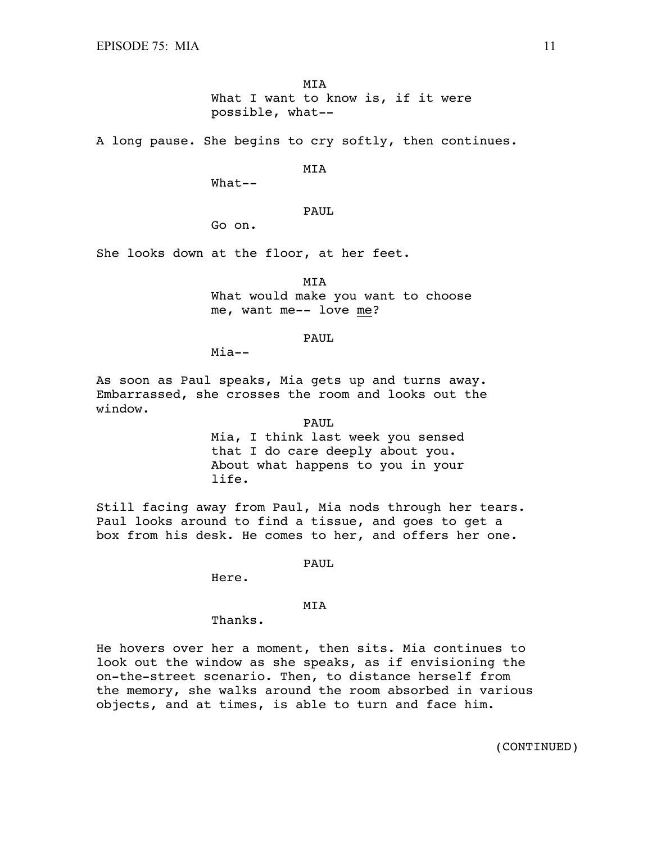MIA What I want to know is, if it were possible, what--

A long pause. She begins to cry softly, then continues.

MIA

What--

# PAUL

Go on.

She looks down at the floor, at her feet.

 MIA What would make you want to choose me, want me-- love me?

#### PAUL

Mia--

As soon as Paul speaks, Mia gets up and turns away. Embarrassed, she crosses the room and looks out the window.

PAUL

Mia, I think last week you sensed that I do care deeply about you. About what happens to you in your life.

Still facing away from Paul, Mia nods through her tears. Paul looks around to find a tissue, and goes to get a box from his desk. He comes to her, and offers her one.

#### PAUL

Here.

# MIA

Thanks.

He hovers over her a moment, then sits. Mia continues to look out the window as she speaks, as if envisioning the on-the-street scenario. Then, to distance herself from the memory, she walks around the room absorbed in various objects, and at times, is able to turn and face him.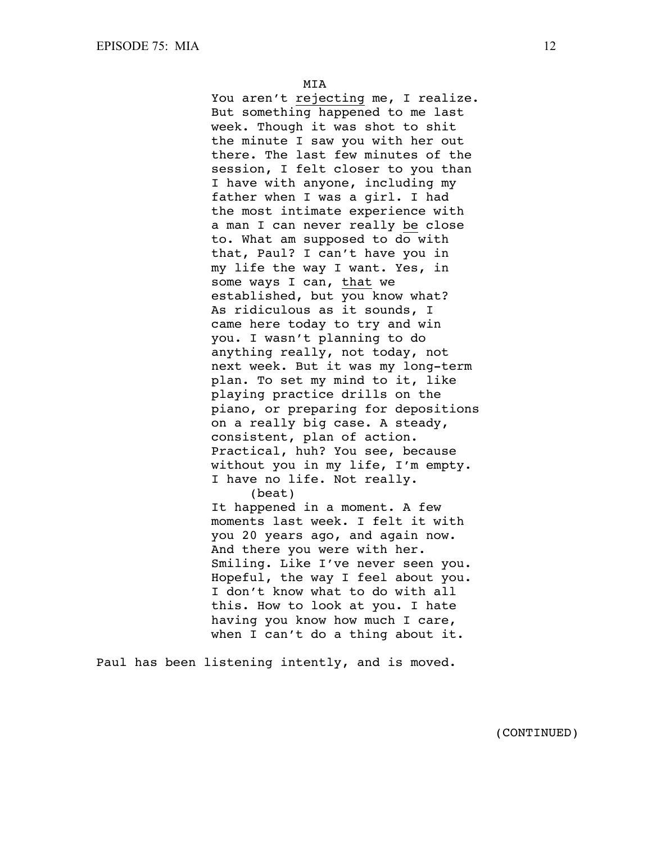You aren't rejecting me, I realize. But something happened to me last week. Though it was shot to shit the minute I saw you with her out there. The last few minutes of the session, I felt closer to you than I have with anyone, including my father when I was a girl. I had the most intimate experience with a man I can never really be close to. What am supposed to do with that, Paul? I can't have you in my life the way I want. Yes, in some ways I can, that we established, but you know what? As ridiculous as it sounds, I came here today to try and win you. I wasn't planning to do anything really, not today, not next week. But it was my long-term plan. To set my mind to it, like playing practice drills on the piano, or preparing for depositions on a really big case. A steady, consistent, plan of action. Practical, huh? You see, because without you in my life, I'm empty. I have no life. Not really. (beat)

It happened in a moment. A few moments last week. I felt it with you 20 years ago, and again now. And there you were with her. Smiling. Like I've never seen you. Hopeful, the way I feel about you. I don't know what to do with all this. How to look at you. I hate having you know how much I care, when I can't do a thing about it.

Paul has been listening intently, and is moved.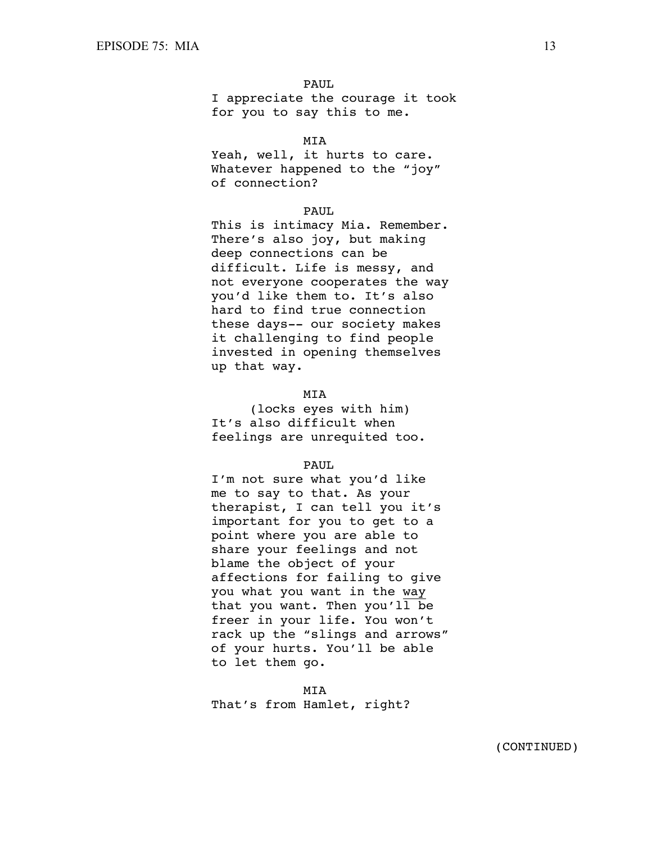I appreciate the courage it took for you to say this to me.

## MIA

Yeah, well, it hurts to care. Whatever happened to the "joy" of connection?

### PAUL

This is intimacy Mia. Remember. There's also joy, but making deep connections can be difficult. Life is messy, and not everyone cooperates the way you'd like them to. It's also hard to find true connection these days-- our society makes it challenging to find people invested in opening themselves up that way.

# **MTA**

(locks eyes with him) It's also difficult when feelings are unrequited too.

# PAUL.

I'm not sure what you'd like me to say to that. As your therapist, I can tell you it's important for you to get to a point where you are able to share your feelings and not blame the object of your affections for failing to give you what you want in the way that you want. Then you'll be freer in your life. You won't rack up the "slings and arrows" of your hurts. You'll be able to let them go.

 MIA That's from Hamlet, right?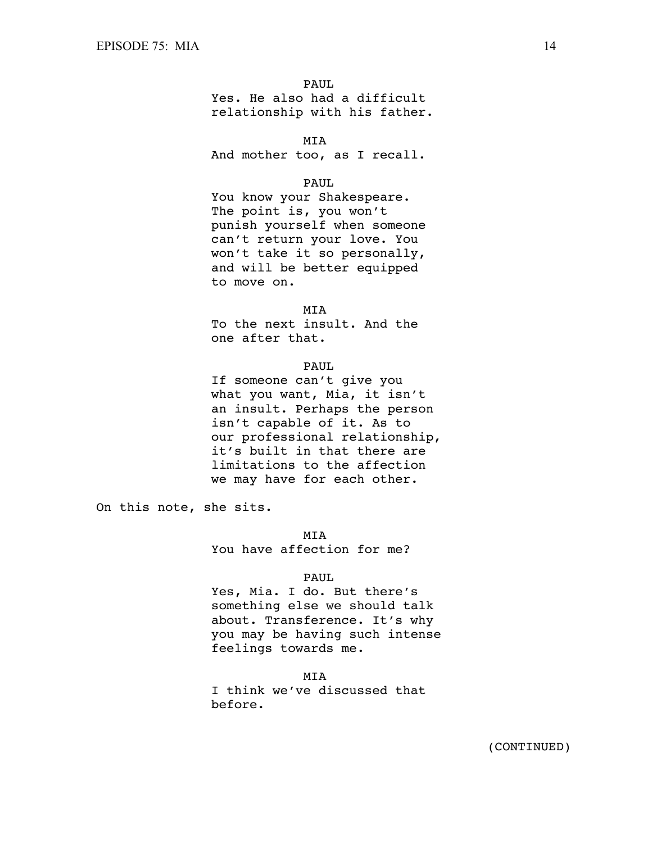Yes. He also had a difficult relationship with his father.

MIA

And mother too, as I recall.

# PAUL

You know your Shakespeare. The point is, you won't punish yourself when someone can't return your love. You won't take it so personally, and will be better equipped to move on.

**MTA** 

To the next insult. And the one after that.

#### PAUL

If someone can't give you what you want, Mia, it isn't an insult. Perhaps the person isn't capable of it. As to our professional relationship, it's built in that there are limitations to the affection we may have for each other.

On this note, she sits.

MIA

You have affection for me?

### PAUL

Yes, Mia. I do. But there's something else we should talk about. Transference. It's why you may be having such intense feelings towards me.

 MIA I think we've discussed that before.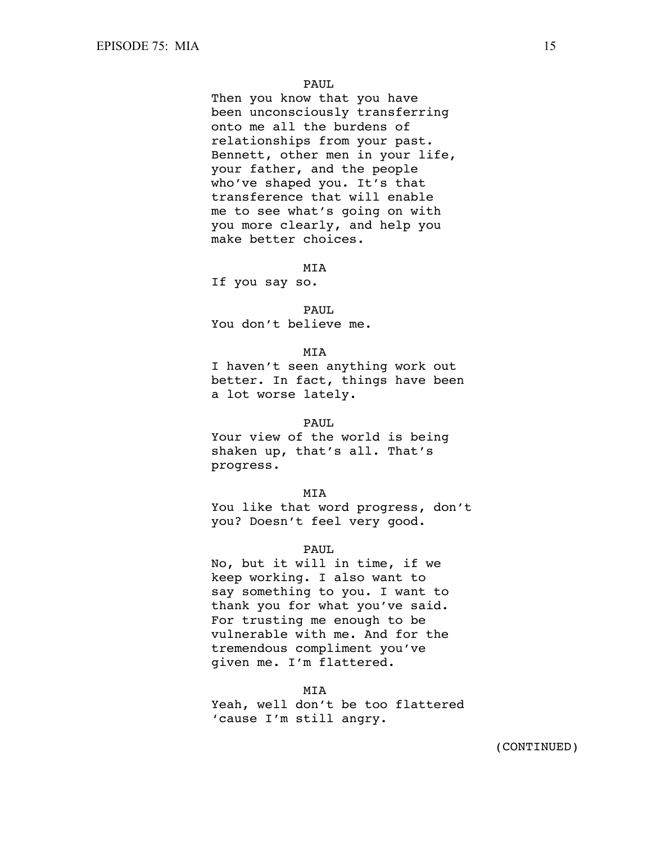Then you know that you have been unconsciously transferring onto me all the burdens of relationships from your past. Bennett, other men in your life, your father, and the people who've shaped you. It's that transference that will enable me to see what's going on with you more clearly, and help you make better choices.

MIA

If you say so.

PAUL

You don't believe me.

**MTA** 

I haven't seen anything work out better. In fact, things have been a lot worse lately.

#### PAUL

Your view of the world is being shaken up, that's all. That's progress.

MIA

You like that word progress, don't you? Doesn't feel very good.

PAUL

No, but it will in time, if we keep working. I also want to say something to you. I want to thank you for what you've said. For trusting me enough to be vulnerable with me. And for the tremendous compliment you've given me. I'm flattered.

 MIA Yeah, well don't be too flattered 'cause I'm still angry.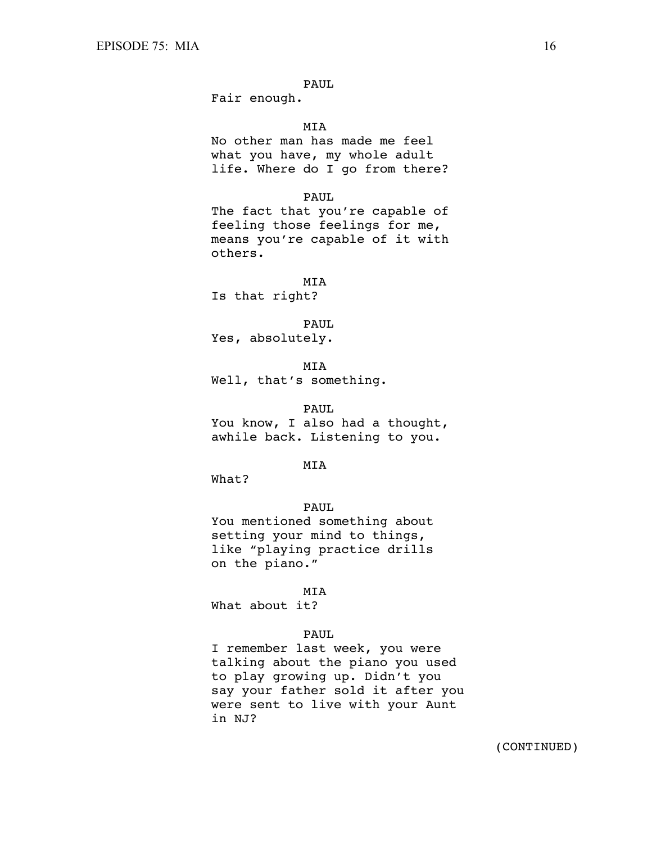Fair enough.

MIA

No other man has made me feel what you have, my whole adult life. Where do I go from there?

### PAUL

The fact that you're capable of feeling those feelings for me, means you're capable of it with others.

 MIA Is that right?

PAUL

Yes, absolutely.

 MIA Well, that's something.

PAUL

You know, I also had a thought, awhile back. Listening to you.

# **MTA**

What?

# PAUL

You mentioned something about setting your mind to things, like "playing practice drills on the piano."

### MIA

What about it?

# PAUL

I remember last week, you were talking about the piano you used to play growing up. Didn't you say your father sold it after you were sent to live with your Aunt in NJ?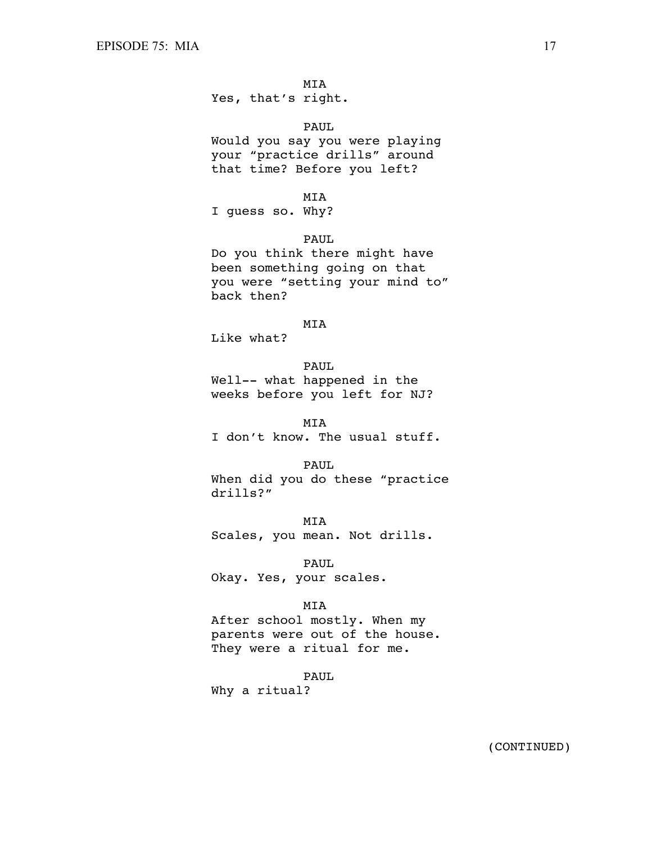Yes, that's right.

PAUL

Would you say you were playing your "practice drills" around that time? Before you left?

MIA

I guess so. Why?

PAUL

Do you think there might have been something going on that you were "setting your mind to" back then?

# MIA

Like what?

PAUL

Well-- what happened in the weeks before you left for NJ?

 MIA I don't know. The usual stuff.

PAUL

When did you do these "practice drills?"

 MIA Scales, you mean. Not drills.

 PAUL Okay. Yes, your scales.

# MIA

After school mostly. When my parents were out of the house. They were a ritual for me.

PAUL

Why a ritual?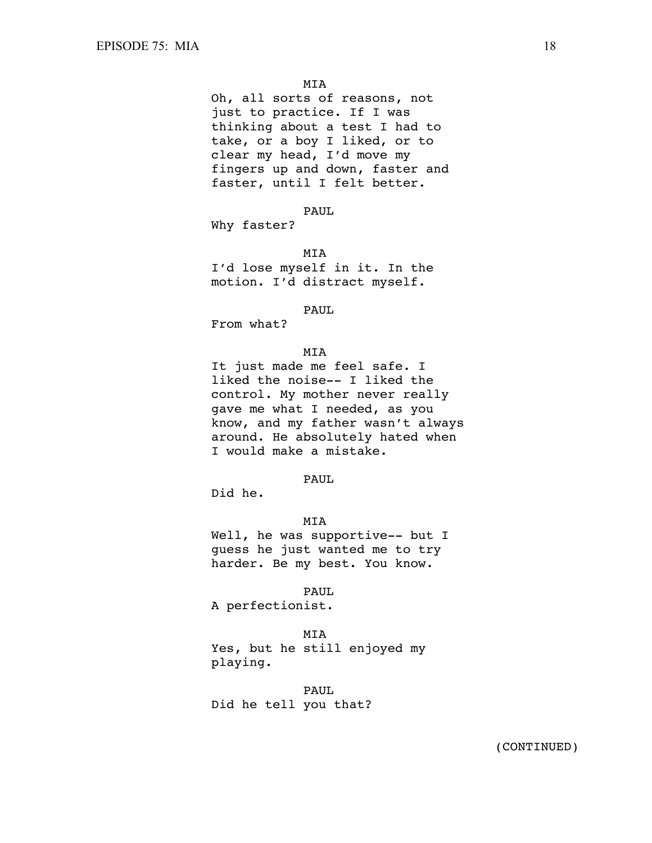Oh, all sorts of reasons, not just to practice. If I was thinking about a test I had to take, or a boy I liked, or to clear my head, I'd move my fingers up and down, faster and faster, until I felt better.

PAUL

Why faster?

MIA

I'd lose myself in it. In the motion. I'd distract myself.

#### PAUL

From what?

#### MIA

It just made me feel safe. I liked the noise-- I liked the control. My mother never really gave me what I needed, as you know, and my father wasn't always around. He absolutely hated when I would make a mistake.

# PAUL

Did he.

### MIA

Well, he was supportive-- but I guess he just wanted me to try harder. Be my best. You know.

PAUL

A perfectionist.

MIA

Yes, but he still enjoyed my playing.

 PAUL Did he tell you that?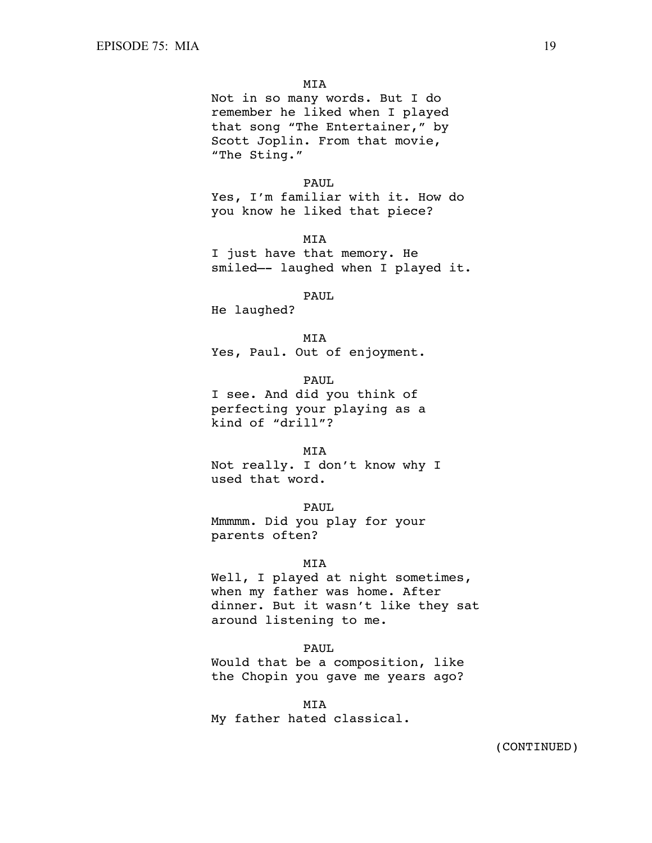Not in so many words. But I do remember he liked when I played that song "The Entertainer," by Scott Joplin. From that movie, "The Sting."

### PAUL

Yes, I'm familiar with it. How do you know he liked that piece?

MIA

I just have that memory. He smiled—- laughed when I played it.

#### PAUL.

He laughed?

**MTA** 

Yes, Paul. Out of enjoyment.

PAUL

I see. And did you think of perfecting your playing as a kind of "drill"?

#### MIA

Not really. I don't know why I used that word.

PAUL.

Mmmmm. Did you play for your parents often?

#### MIA

Well, I played at night sometimes, when my father was home. After dinner. But it wasn't like they sat around listening to me.

#### PAUL

Would that be a composition, like the Chopin you gave me years ago?

 MIA My father hated classical.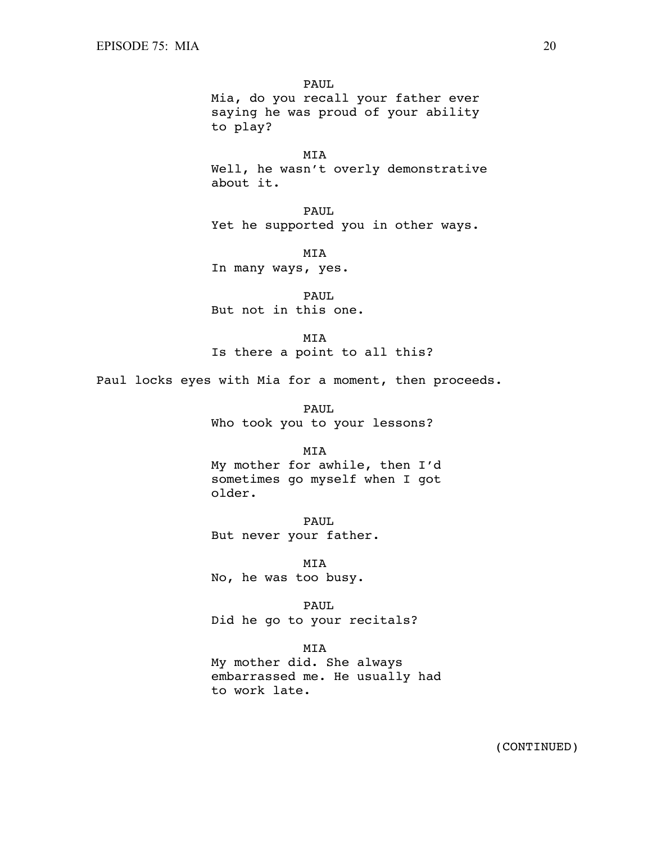PAUL Mia, do you recall your father ever saying he was proud of your ability to play?

 MIA Well, he wasn't overly demonstrative about it.

 PAUL Yet he supported you in other ways.

 MIA In many ways, yes.

PAUL. But not in this one.

 MIA Is there a point to all this?

Paul locks eyes with Mia for a moment, then proceeds.

 PAUL Who took you to your lessons?

# MIA

My mother for awhile, then I'd sometimes go myself when I got older.

 PAUL But never your father.

 MIA No, he was too busy.

 PAUL Did he go to your recitals?

### MIA

My mother did. She always embarrassed me. He usually had to work late.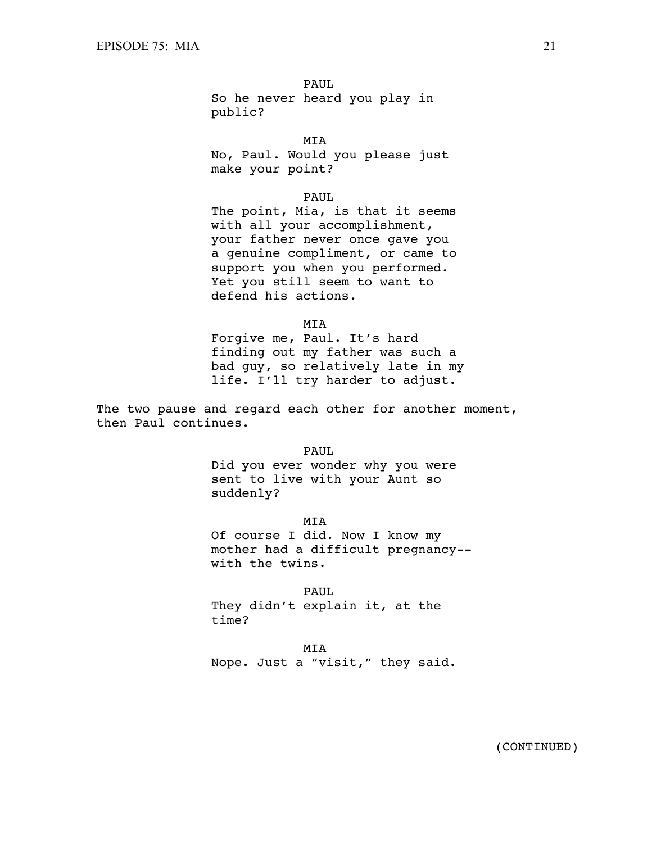PAUL So he never heard you play in public?

 MIA No, Paul. Would you please just make your point?

PAUL

The point, Mia, is that it seems with all your accomplishment, your father never once gave you a genuine compliment, or came to support you when you performed. Yet you still seem to want to defend his actions.

MIA

Forgive me, Paul. It's hard finding out my father was such a bad guy, so relatively late in my life. I'll try harder to adjust.

The two pause and regard each other for another moment, then Paul continues.

> PAUL Did you ever wonder why you were sent to live with your Aunt so suddenly?

 MIA Of course I did. Now I know my mother had a difficult pregnancy- with the twins.

 PAUL They didn't explain it, at the time?

MIA

Nope. Just a "visit," they said.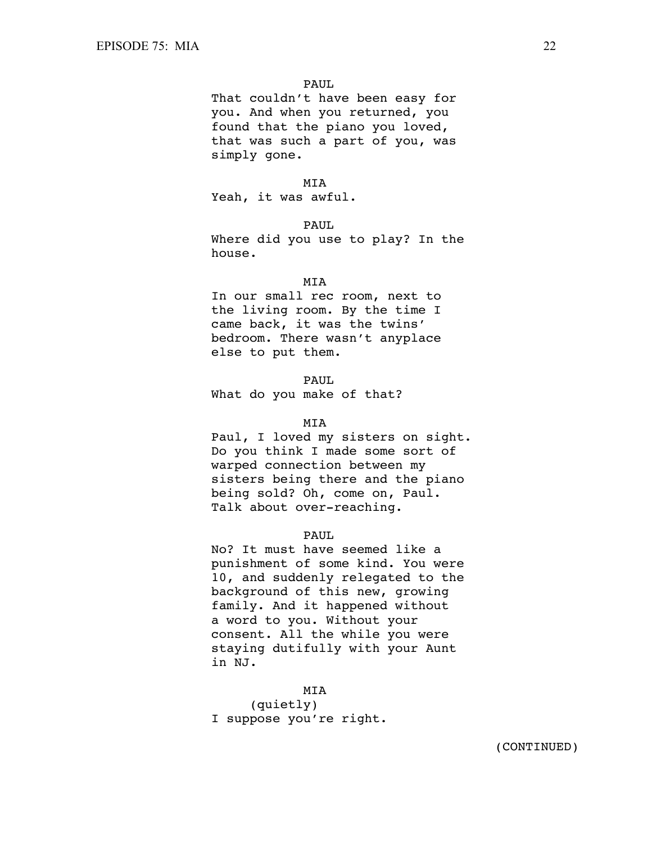That couldn't have been easy for you. And when you returned, you found that the piano you loved, that was such a part of you, was simply gone.

# MIA

Yeah, it was awful.

### PAUL.

Where did you use to play? In the house.

# MIA

In our small rec room, next to the living room. By the time I came back, it was the twins' bedroom. There wasn't anyplace else to put them.

# PAUL

What do you make of that?

### MIA

Paul, I loved my sisters on sight. Do you think I made some sort of warped connection between my sisters being there and the piano being sold? Oh, come on, Paul. Talk about over-reaching.

# PAUL

No? It must have seemed like a punishment of some kind. You were 10, and suddenly relegated to the background of this new, growing family. And it happened without a word to you. Without your consent. All the while you were staying dutifully with your Aunt in NJ.

#### MIA

(quietly) I suppose you're right.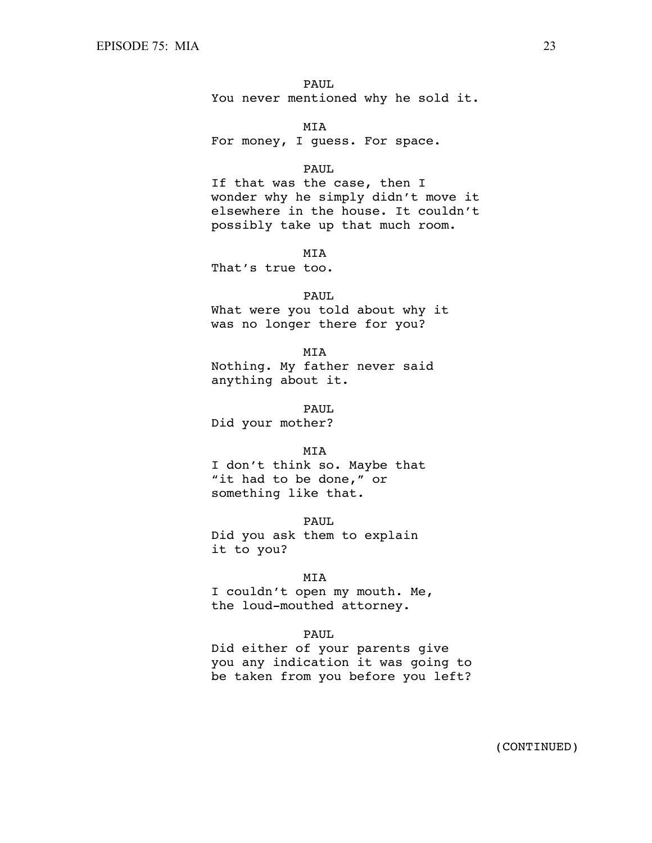PAUL You never mentioned why he sold it.

 MIA For money, I guess. For space.

### PAUL

If that was the case, then I wonder why he simply didn't move it elsewhere in the house. It couldn't possibly take up that much room.

MIA

That's true too.

### PAUL.

What were you told about why it was no longer there for you?

 MIA Nothing. My father never said anything about it.

 PAUL Did your mother?

#### MIA

I don't think so. Maybe that "it had to be done," or something like that.

 PAUL Did you ask them to explain it to you?

### MIA

I couldn't open my mouth. Me, the loud-mouthed attorney.

# PAUL

Did either of your parents give you any indication it was going to be taken from you before you left?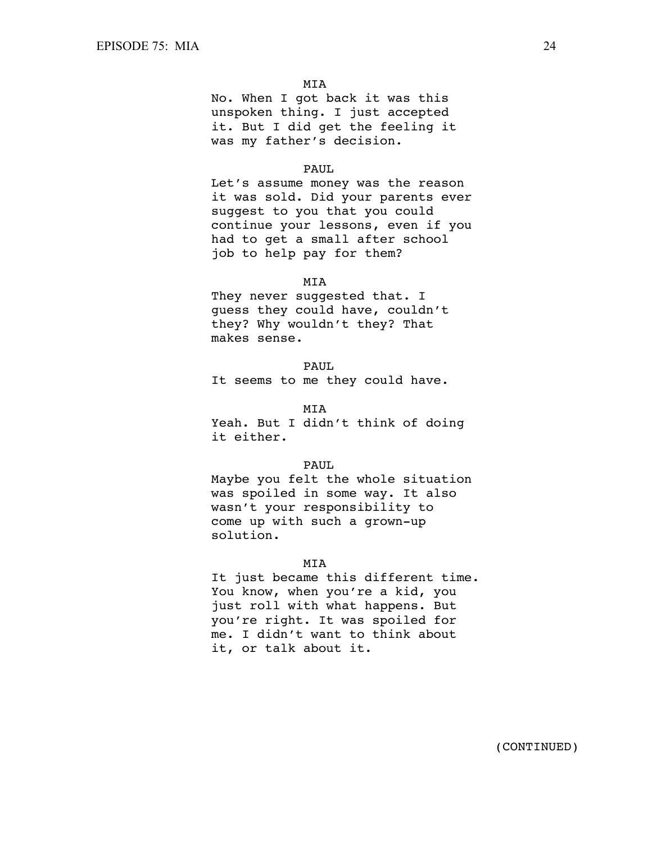No. When I got back it was this unspoken thing. I just accepted it. But I did get the feeling it was my father's decision.

# PAUL.

Let's assume money was the reason it was sold. Did your parents ever suggest to you that you could continue your lessons, even if you had to get a small after school job to help pay for them?

#### MIA

They never suggested that. I guess they could have, couldn't they? Why wouldn't they? That makes sense.

#### PAUL

It seems to me they could have.

#### MIA

Yeah. But I didn't think of doing it either.

### PAUL.

Maybe you felt the whole situation was spoiled in some way. It also wasn't your responsibility to come up with such a grown-up solution.

### MIA

It just became this different time. You know, when you're a kid, you just roll with what happens. But you're right. It was spoiled for me. I didn't want to think about it, or talk about it.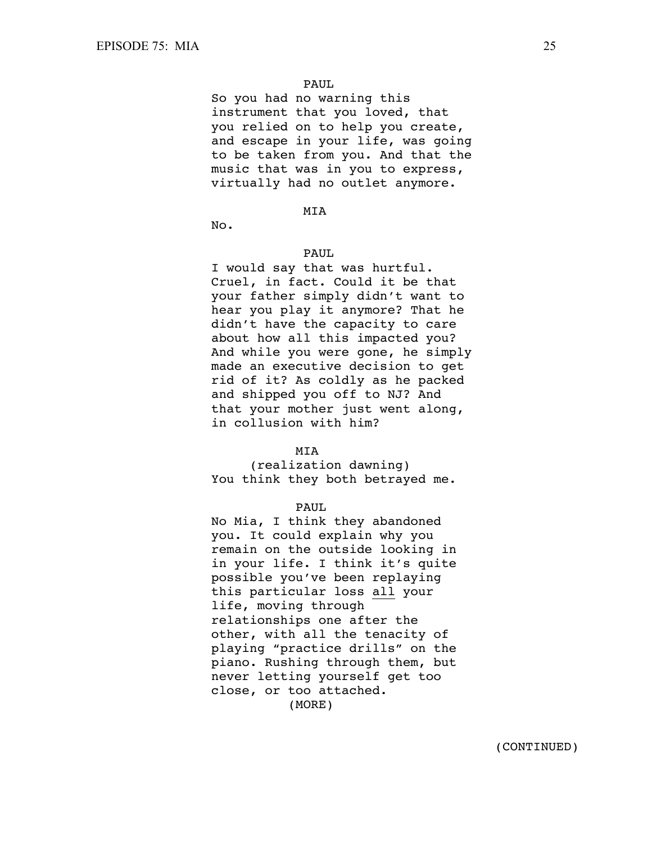So you had no warning this instrument that you loved, that you relied on to help you create, and escape in your life, was going to be taken from you. And that the music that was in you to express, virtually had no outlet anymore.

# MIA

No.

# PAUL

I would say that was hurtful. Cruel, in fact. Could it be that your father simply didn't want to hear you play it anymore? That he didn't have the capacity to care about how all this impacted you? And while you were gone, he simply made an executive decision to get rid of it? As coldly as he packed and shipped you off to NJ? And that your mother just went along, in collusion with him?

#### MIA

(realization dawning) You think they both betrayed me.

# PAUL.

No Mia, I think they abandoned you. It could explain why you remain on the outside looking in in your life. I think it's quite possible you've been replaying this particular loss all your life, moving through relationships one after the other, with all the tenacity of playing "practice drills" on the piano. Rushing through them, but never letting yourself get too close, or too attached. (MORE)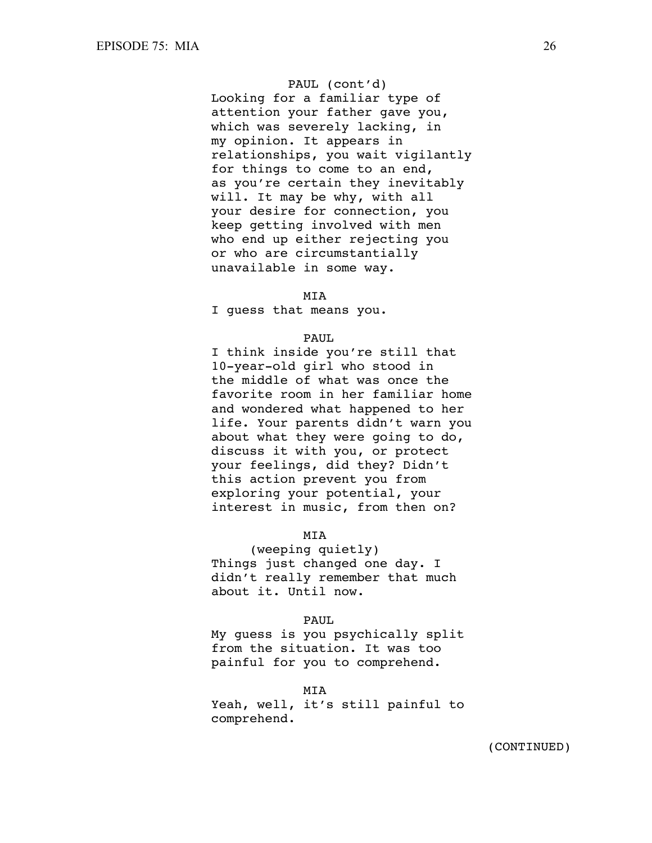# PAUL (cont'd)

Looking for a familiar type of attention your father gave you, which was severely lacking, in my opinion. It appears in relationships, you wait vigilantly for things to come to an end, as you're certain they inevitably will. It may be why, with all your desire for connection, you keep getting involved with men who end up either rejecting you or who are circumstantially unavailable in some way.

### **MTA**

I guess that means you.

# PAUL.

I think inside you're still that 10-year-old girl who stood in the middle of what was once the favorite room in her familiar home and wondered what happened to her life. Your parents didn't warn you about what they were going to do, discuss it with you, or protect your feelings, did they? Didn't this action prevent you from exploring your potential, your interest in music, from then on?

# MIA

(weeping quietly) Things just changed one day. I didn't really remember that much about it. Until now.

# PAUL

My guess is you psychically split from the situation. It was too painful for you to comprehend.

MIA

Yeah, well, it's still painful to comprehend.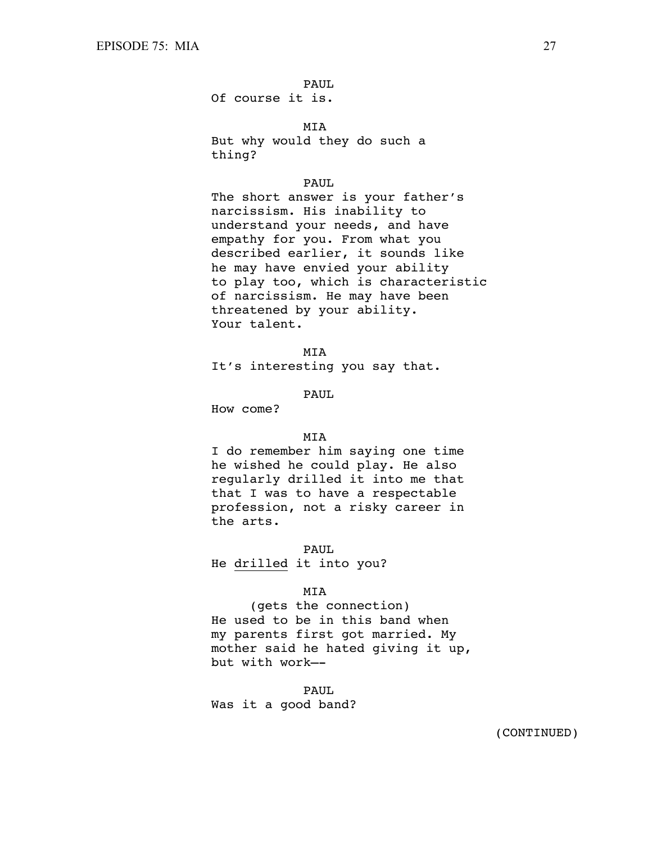Of course it is.

MIA

But why would they do such a thing?

# PAUL

The short answer is your father's narcissism. His inability to understand your needs, and have empathy for you. From what you described earlier, it sounds like he may have envied your ability to play too, which is characteristic of narcissism. He may have been threatened by your ability. Your talent.

**MTA** It's interesting you say that.

# PAUL.

How come?

## **MTA**

I do remember him saying one time he wished he could play. He also regularly drilled it into me that that I was to have a respectable profession, not a risky career in the arts.

PAUL

He drilled it into you?

### MIA

(gets the connection) He used to be in this band when my parents first got married. My mother said he hated giving it up, but with work—-

 PAUL Was it a good band?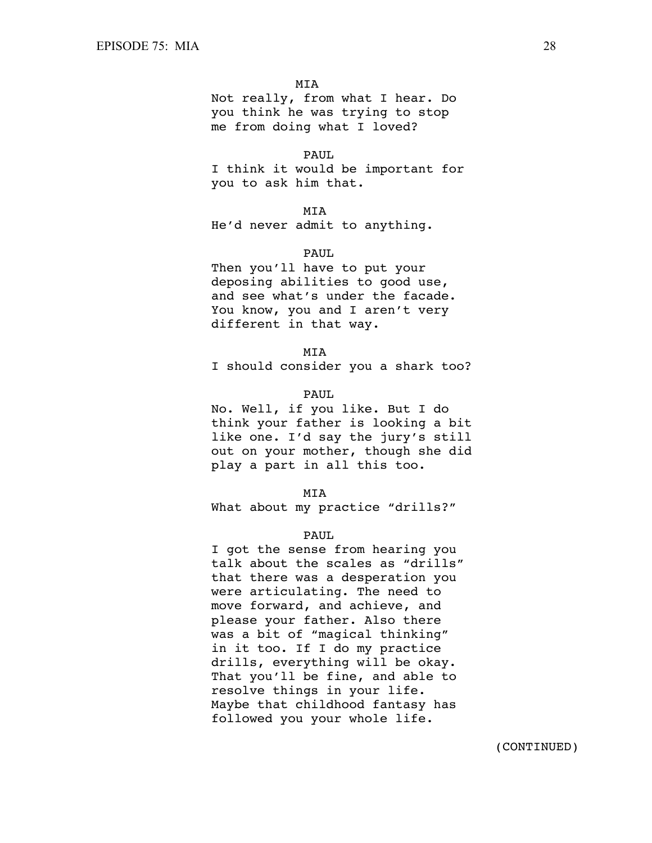Not really, from what I hear. Do you think he was trying to stop me from doing what I loved?

#### PAUL

I think it would be important for you to ask him that.

MIA

He'd never admit to anything.

# PAUL

Then you'll have to put your deposing abilities to good use, and see what's under the facade. You know, you and I aren't very different in that way.

**MTA** 

I should consider you a shark too?

# PAUL.

No. Well, if you like. But I do think your father is looking a bit like one. I'd say the jury's still out on your mother, though she did play a part in all this too.

#### MIA

What about my practice "drills?"

#### PAUL

I got the sense from hearing you talk about the scales as "drills" that there was a desperation you were articulating. The need to move forward, and achieve, and please your father. Also there was a bit of "magical thinking" in it too. If I do my practice drills, everything will be okay. That you'll be fine, and able to resolve things in your life. Maybe that childhood fantasy has followed you your whole life.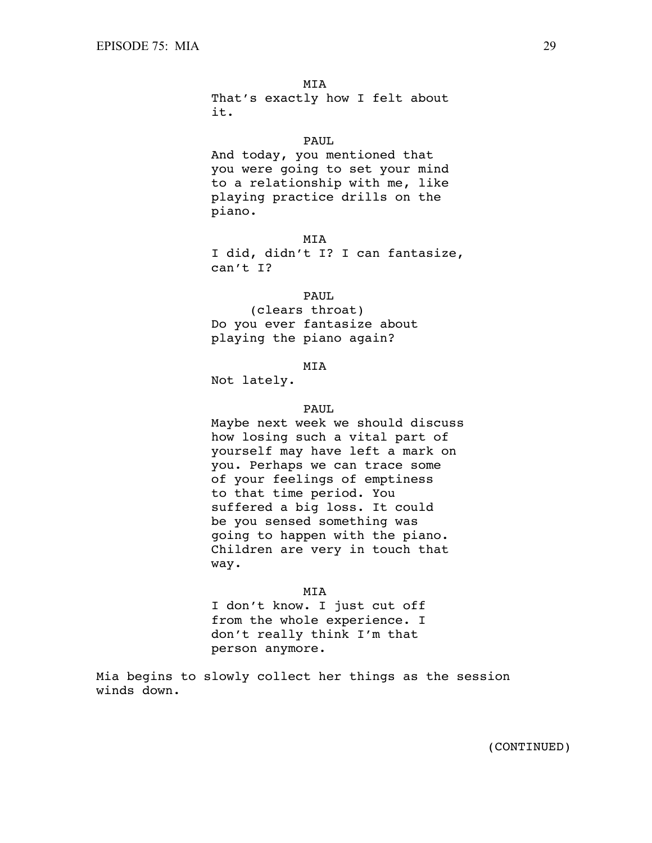MIA That's exactly how I felt about it.

# PAUL

And today, you mentioned that you were going to set your mind to a relationship with me, like playing practice drills on the piano.

MIA

I did, didn't I? I can fantasize, can't I?

#### PAUL.

(clears throat) Do you ever fantasize about playing the piano again?

MIA

Not lately.

# PAUL.

Maybe next week we should discuss how losing such a vital part of yourself may have left a mark on you. Perhaps we can trace some of your feelings of emptiness to that time period. You suffered a big loss. It could be you sensed something was going to happen with the piano. Children are very in touch that way.

#### MIA

I don't know. I just cut off from the whole experience. I don't really think I'm that person anymore.

Mia begins to slowly collect her things as the session winds down.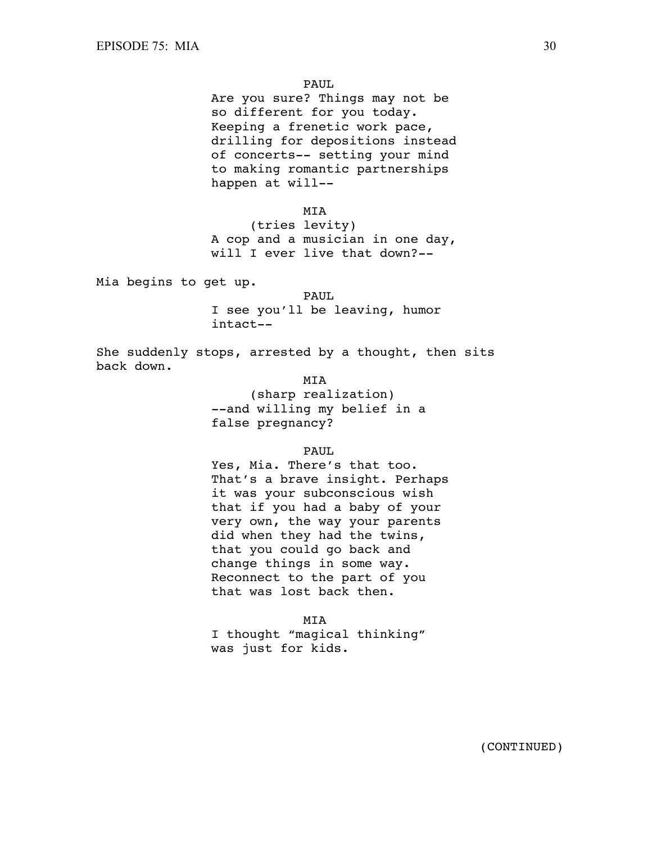Are you sure? Things may not be so different for you today. Keeping a frenetic work pace, drilling for depositions instead of concerts-- setting your mind to making romantic partnerships happen at will--

### MIA

(tries levity) A cop and a musician in one day, will I ever live that down?--

Mia begins to get up.

PAUL. I see you'll be leaving, humor intact--

She suddenly stops, arrested by a thought, then sits back down.

MIA

(sharp realization) --and willing my belief in a false pregnancy?

PAUL

Yes, Mia. There's that too. That's a brave insight. Perhaps it was your subconscious wish that if you had a baby of your very own, the way your parents did when they had the twins, that you could go back and change things in some way. Reconnect to the part of you that was lost back then.

MIA

I thought "magical thinking" was just for kids.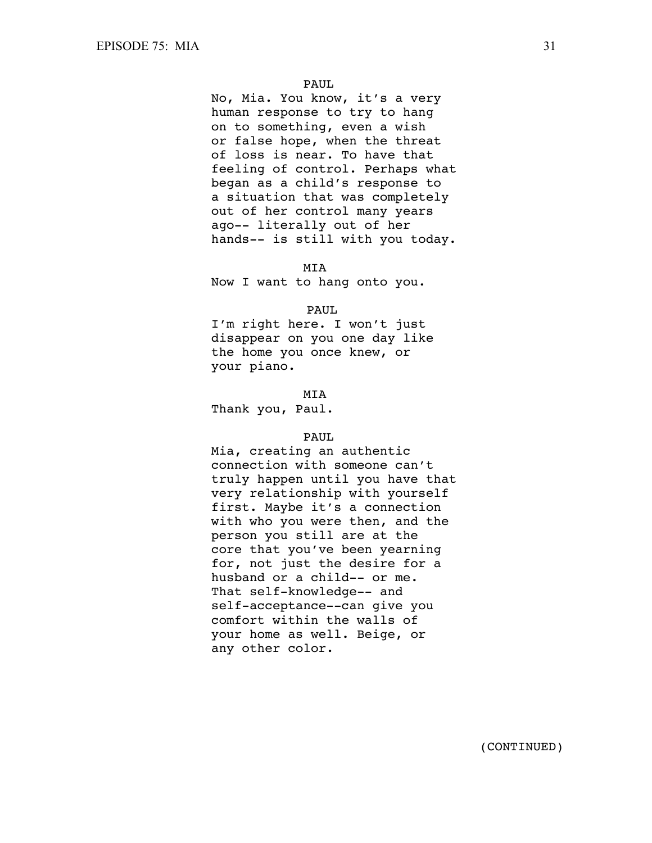No, Mia. You know, it's a very human response to try to hang on to something, even a wish or false hope, when the threat of loss is near. To have that feeling of control. Perhaps what began as a child's response to a situation that was completely out of her control many years ago-- literally out of her hands-- is still with you today.

### MIA

Now I want to hang onto you.

#### PAUL

I'm right here. I won't just disappear on you one day like the home you once knew, or your piano.

**MTA** 

Thank you, Paul.

## PAUL

Mia, creating an authentic connection with someone can't truly happen until you have that very relationship with yourself first. Maybe it's a connection with who you were then, and the person you still are at the core that you've been yearning for, not just the desire for a husband or a child-- or me. That self-knowledge-- and self-acceptance--can give you comfort within the walls of your home as well. Beige, or any other color.